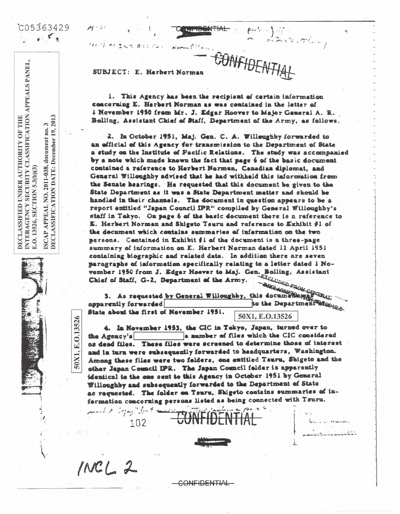$C05363429$  $\frac{1}{2}$   $\frac{1}{2}$   $\frac{1}{2}$ 

 $\frac{3}{2013}$ 

December

no. 19,

2011-038, document

ISCAP APPEAL NO. 2011-038,<br>DECLASSIFICATION DATE: 1

50X1, E.O.13526

E.O. 13526, SECTION 5.3(b)(3)

NTERAGENCY SECURITY CLASSIFICATION APPEALS PANEI

DECLASSIFIED UNDER AUTHORITY OF THE

AN IS OF BUT ROLLO Norma Cilla

SUBJECT: E. Herbert Norman

1. This Agency has been the recipient of certain information concerning E. Herbert Norman as was contained in the letter of i November 1950 from Mr. J. Edgar Hoover to Major General A. R. Belling, Assistant Chief of Staff, Department of the Army, as follows.

**GONFIDENTI** 

2. In October 1951, Maj. Gen. C. A. Willeughby forwarded to an efficial of this Agency for transmission to the Department of State a study on the Institute of Pacific Relations. The study was accompanied by a note which made known the fact that page 6 of the basic document contained a reference to Herbert Norman, Canadian diplomat, and General Willoughby advised that he had withheld this information from the Senate hearings. He requested that this document be given to the State Department as it was a State Department matter and should be handled in their channels. The document in question appears to be a report entitled "Japan Council IPR" compiled by General Willoughby's staff in Tekyo. On page 6 of the basic document there is a reference to E. Herbert Norman and Shigeto Tsuru and reference to Exhibit #1 of the document which contains summaries of information on the two screons. Contained in Exhibit #1 of the document is a three-page summary of information on E. Herbert Norman dated 11 April 1951 containing biographic and related data. In addition there are seven paragraphs of information specifically relating to a letter dated i November 1950 from J. Edgar Hoover to Maj. Gen. Bolling, Assistant<br>Chief of Staff, G-2, Department of the Army.<br>3. As requested by General Willoughby, this documentshype Prop.

3. As requested by General Willoughby, this documentary to the Department Strotter apparently forwarded State about the first of Nevember 1951.

50X1, E.O.13526

4. In November 1953, the CIC in Tokyo, Japan, turned over to a mumber of files which the CIC considered the Agency's as dead files. These files were screened to determine those of interest and in turn were subsequently forwarded to headquarters, Washington. Among these files were two folders, one entitled Tsuru, Shigeto and the other Japan Council IPR. The Japan Council folder is apparently identical to the one sent to this Agency in October 1951 by General Willoughby and subsequently forwarded to the Department of State as requested. The folder on Tsuru, Shigeto contains summaries of information concerning persons listed as being connected with Tsuru. formation come

 $INCL2$ 

102

CONFIDENTIAL